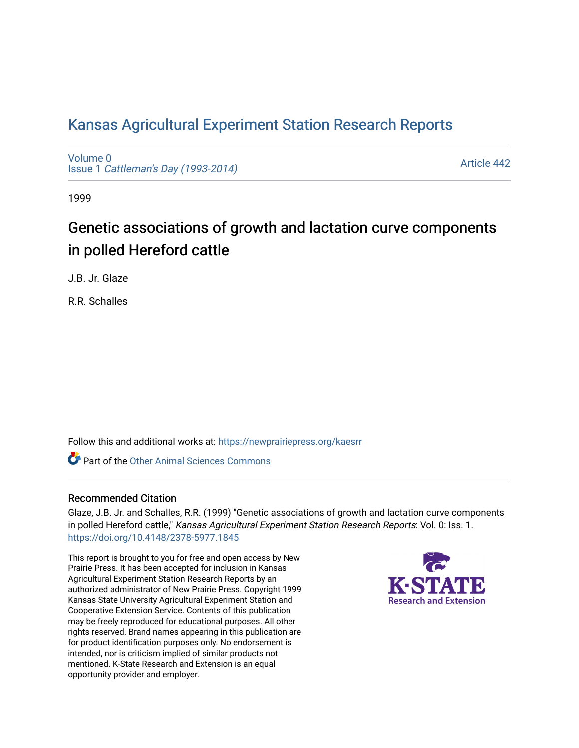## [Kansas Agricultural Experiment Station Research Reports](https://newprairiepress.org/kaesrr)

[Volume 0](https://newprairiepress.org/kaesrr/vol0) Issue 1 [Cattleman's Day \(1993-2014\)](https://newprairiepress.org/kaesrr/vol0/iss1) 

[Article 442](https://newprairiepress.org/kaesrr/vol0/iss1/442) 

1999

# Genetic associations of growth and lactation curve components in polled Hereford cattle

J.B. Jr. Glaze

R.R. Schalles

Follow this and additional works at: [https://newprairiepress.org/kaesrr](https://newprairiepress.org/kaesrr?utm_source=newprairiepress.org%2Fkaesrr%2Fvol0%2Fiss1%2F442&utm_medium=PDF&utm_campaign=PDFCoverPages) 

**C** Part of the [Other Animal Sciences Commons](http://network.bepress.com/hgg/discipline/82?utm_source=newprairiepress.org%2Fkaesrr%2Fvol0%2Fiss1%2F442&utm_medium=PDF&utm_campaign=PDFCoverPages)

#### Recommended Citation

Glaze, J.B. Jr. and Schalles, R.R. (1999) "Genetic associations of growth and lactation curve components in polled Hereford cattle," Kansas Agricultural Experiment Station Research Reports: Vol. 0: Iss. 1. <https://doi.org/10.4148/2378-5977.1845>

This report is brought to you for free and open access by New Prairie Press. It has been accepted for inclusion in Kansas Agricultural Experiment Station Research Reports by an authorized administrator of New Prairie Press. Copyright 1999 Kansas State University Agricultural Experiment Station and Cooperative Extension Service. Contents of this publication may be freely reproduced for educational purposes. All other rights reserved. Brand names appearing in this publication are for product identification purposes only. No endorsement is intended, nor is criticism implied of similar products not mentioned. K-State Research and Extension is an equal opportunity provider and employer.

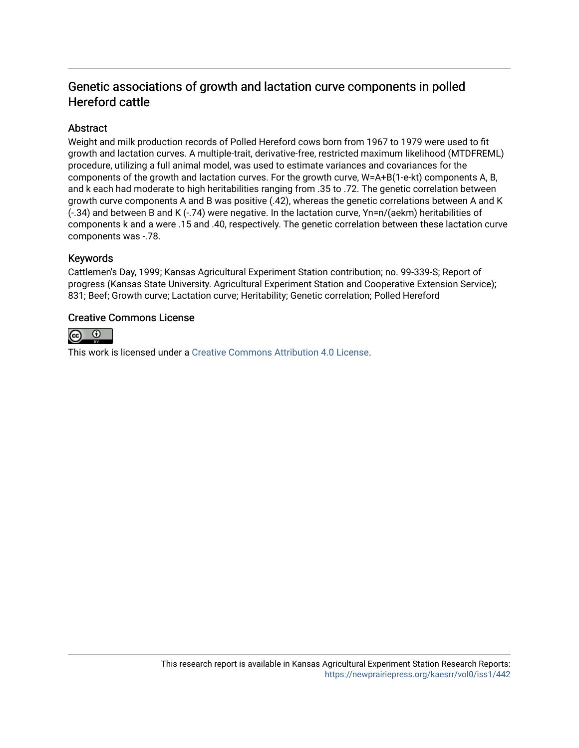### Genetic associations of growth and lactation curve components in polled Hereford cattle

#### **Abstract**

Weight and milk production records of Polled Hereford cows born from 1967 to 1979 were used to fit growth and lactation curves. A multiple-trait, derivative-free, restricted maximum likelihood (MTDFREML) procedure, utilizing a full animal model, was used to estimate variances and covariances for the components of the growth and lactation curves. For the growth curve, W=A+B(1-e-kt) components A, B, and k each had moderate to high heritabilities ranging from .35 to .72. The genetic correlation between growth curve components A and B was positive (.42), whereas the genetic correlations between A and K (-.34) and between B and K (-.74) were negative. In the lactation curve, Yn=n/(aekm) heritabilities of components k and a were .15 and .40, respectively. The genetic correlation between these lactation curve components was -.78.

#### Keywords

Cattlemen's Day, 1999; Kansas Agricultural Experiment Station contribution; no. 99-339-S; Report of progress (Kansas State University. Agricultural Experiment Station and Cooperative Extension Service); 831; Beef; Growth curve; Lactation curve; Heritability; Genetic correlation; Polled Hereford

#### Creative Commons License



This work is licensed under a [Creative Commons Attribution 4.0 License](https://creativecommons.org/licenses/by/4.0/).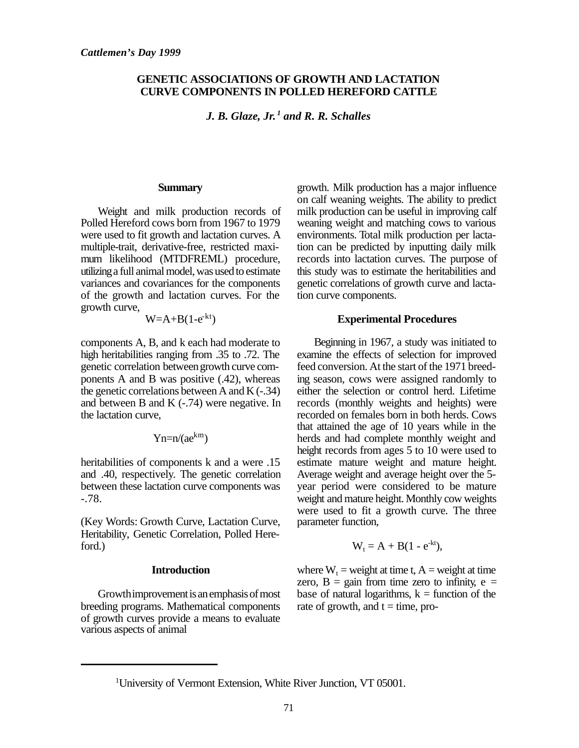#### **GENETIC ASSOCIATIONS OF GROWTH AND LACTATION CURVE COMPONENTS IN POLLED HEREFORD CATTLE**

*J. B. Glaze, Jr. 1 and R. R. Schalles*

#### **Summary**

Weight and milk production records of Polled Hereford cows born from 1967 to 1979 were used to fit growth and lactation curves. A multiple-trait, derivative-free, restricted maximum likelihood (MTDFREML) procedure, utilizing a full animal model, was used to estimate variances and covariances for the components of the growth and lactation curves. For the growth curve,

$$
W=A+B(1-e^{kt})
$$

components A, B, and k each had moderate to high heritabilities ranging from .35 to .72. The genetic correlation between growth curve components A and B was positive (.42), whereas the genetic correlations between A and  $K$  (-.34) and between B and K (-.74) were negative. In the lactation curve,

$$
Yn = n/(ae^{km})
$$

heritabilities of components k and a were .15 and .40, respectively. The genetic correlation between these lactation curve components was -.78.

(Key Words: Growth Curve, Lactation Curve, Heritability, Genetic Correlation, Polled Hereford.)

#### **Introduction**

Growth improvement is an emphasis of most breeding programs. Mathematical components of growth curves provide a means to evaluate various aspects of animal

growth. Milk production has a major influence on calf weaning weights. The ability to predict milk production can be useful in improving calf weaning weight and matching cows to various environments. Total milk production per lactation can be predicted by inputting daily milk records into lactation curves. The purpose of this study was to estimate the heritabilities and genetic correlations of growth curve and lactation curve components.

#### **Experimental Procedures**

Beginning in 1967, a study was initiated to examine the effects of selection for improved feed conversion. At the start of the 1971 breeding season, cows were assigned randomly to either the selection or control herd. Lifetime records (monthly weights and heights) were recorded on females born in both herds. Cows that attained the age of 10 years while in the herds and had complete monthly weight and height records from ages 5 to 10 were used to estimate mature weight and mature height. Average weight and average height over the 5 year period were considered to be mature weight and mature height. Monthly cow weights were used to fit a growth curve. The three parameter function,

$$
W_t = A + B(1 - e^{-kt}),
$$

where  $W_t$  = weight at time t,  $A$  = weight at time zero,  $B =$  gain from time zero to infinity,  $e =$ base of natural logarithms,  $k =$  function of the rate of growth, and  $t = time$ , pro-

<sup>1</sup>University of Vermont Extension, White River Junction, VT 05001.